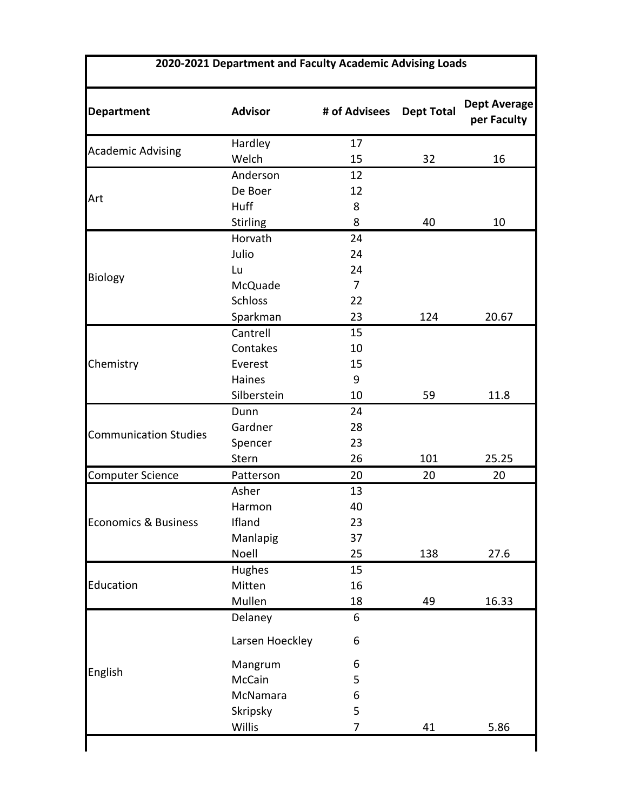| <b>Department</b>               | <b>Advisor</b>  | # of Advisees | <b>Dept Total</b> | <b>Dept Average</b><br>per Faculty |
|---------------------------------|-----------------|---------------|-------------------|------------------------------------|
| <b>Academic Advising</b>        | Hardley         | 17            |                   |                                    |
|                                 | Welch           | 15            | 32                | 16                                 |
|                                 | Anderson        | 12            |                   |                                    |
|                                 | De Boer         | 12            |                   |                                    |
| Art                             | Huff            | 8             |                   |                                    |
|                                 | <b>Stirling</b> | 8             | 40                | 10                                 |
|                                 | Horvath         | 24            |                   |                                    |
|                                 | Julio           | 24            |                   |                                    |
|                                 | Lu              | 24            |                   |                                    |
| <b>Biology</b>                  | McQuade         | 7             |                   |                                    |
|                                 | <b>Schloss</b>  | 22            |                   |                                    |
|                                 | Sparkman        | 23            | 124               | 20.67                              |
|                                 | Cantrell        | 15            |                   |                                    |
|                                 | Contakes        | 10            |                   |                                    |
| Chemistry                       | Everest         | 15            |                   |                                    |
|                                 | Haines          | 9             |                   |                                    |
|                                 | Silberstein     | 10            | 59                | 11.8                               |
|                                 | Dunn            | 24            |                   |                                    |
|                                 | Gardner         | 28            |                   |                                    |
| <b>Communication Studies</b>    | Spencer         | 23            |                   |                                    |
|                                 | Stern           | 26            | 101               | 25.25                              |
| Computer Science                | Patterson       | 20            | 20                | 20                                 |
| <b>Economics &amp; Business</b> | Asher           | 13            |                   |                                    |
|                                 | Harmon          | 40            |                   |                                    |
|                                 | Ifland          | 23            |                   |                                    |
|                                 | Manlapig        | 37            |                   |                                    |
|                                 | Noell           | 25            | 138               | 27.6                               |
| Education<br>English            | Hughes          | 15            |                   |                                    |
|                                 | Mitten          | 16            |                   |                                    |
|                                 | Mullen          | 18            | 49                | 16.33                              |
|                                 | Delaney         | 6             |                   |                                    |
|                                 | Larsen Hoeckley | 6             |                   |                                    |
|                                 | Mangrum         | 6             |                   |                                    |
|                                 | McCain          | 5             |                   |                                    |
|                                 | McNamara        | 6             |                   |                                    |
|                                 | Skripsky        | 5             |                   |                                    |
|                                 | Willis          | 7             | 41                | 5.86                               |

I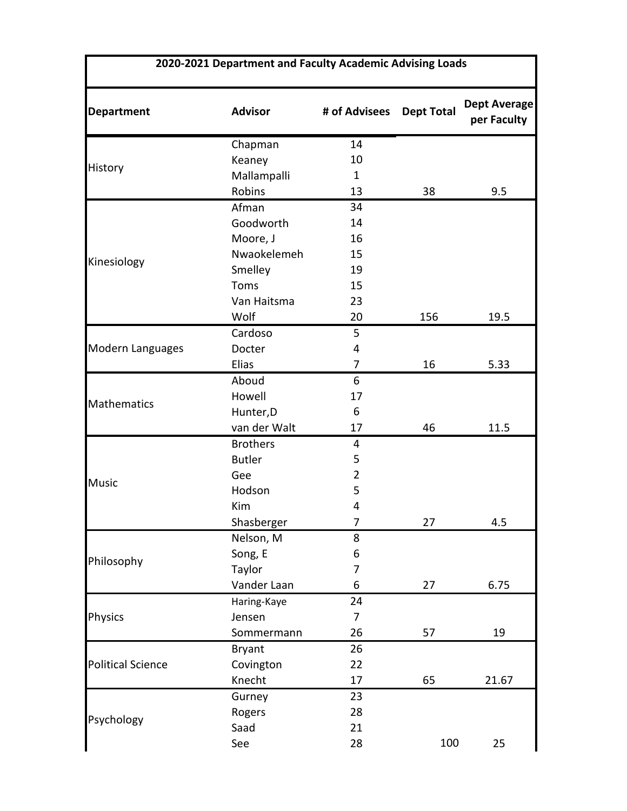| <b>Department</b>        | <b>Advisor</b>  | # of Advisees  | <b>Dept Total</b> | <b>Dept Average</b><br>per Faculty |
|--------------------------|-----------------|----------------|-------------------|------------------------------------|
|                          | Chapman         | 14             |                   |                                    |
|                          | Keaney          | 10             |                   |                                    |
| History                  | Mallampalli     | 1              |                   |                                    |
|                          | Robins          | 13             | 38                | 9.5                                |
|                          | Afman           | 34             |                   |                                    |
|                          | Goodworth       | 14             |                   |                                    |
|                          | Moore, J        | 16             |                   |                                    |
|                          | Nwaokelemeh     | 15             |                   |                                    |
| Kinesiology              | Smelley         | 19             |                   |                                    |
|                          | Toms            | 15             |                   |                                    |
|                          | Van Haitsma     | 23             |                   |                                    |
|                          | Wolf            | 20             | 156               | 19.5                               |
|                          | Cardoso         | 5              |                   |                                    |
| Modern Languages         | Docter          | 4              |                   |                                    |
|                          | Elias           | $\overline{7}$ | 16                | 5.33                               |
|                          | Aboud           | 6              |                   |                                    |
| Mathematics              | Howell          | 17             |                   |                                    |
|                          | Hunter, D       | 6              |                   |                                    |
|                          | van der Walt    | 17             | 46                | 11.5                               |
| <b>Music</b>             | <b>Brothers</b> | 4              |                   |                                    |
|                          | <b>Butler</b>   | 5              |                   |                                    |
|                          | Gee             | $\overline{2}$ |                   |                                    |
|                          | Hodson          | 5              |                   |                                    |
|                          | Kim             | $\overline{4}$ |                   |                                    |
|                          | Shasberger      | 7              | 27                | 4.5                                |
| Philosophy               | Nelson, M       | 8              |                   |                                    |
|                          | Song, E         | 6              |                   |                                    |
|                          | Taylor          | 7              |                   |                                    |
|                          | Vander Laan     | 6              | 27                | 6.75                               |
| Physics                  | Haring-Kaye     | 24             |                   |                                    |
|                          | Jensen          | 7              |                   |                                    |
|                          | Sommermann      | 26             | 57                | 19                                 |
| <b>Political Science</b> | <b>Bryant</b>   | 26             |                   |                                    |
|                          | Covington       | 22             |                   |                                    |
|                          | Knecht          | 17             | 65                | 21.67                              |
| Psychology               | Gurney          | 23             |                   |                                    |
|                          | Rogers          | 28             |                   |                                    |
|                          | Saad            | 21             |                   |                                    |
|                          | See             | 28             | 100               | 25                                 |